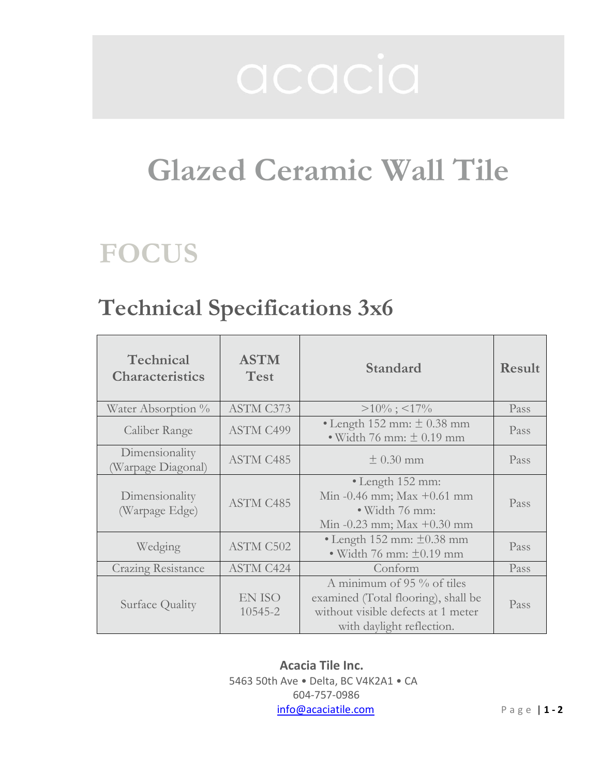# Glazed Ceramic Wall Tile

## FOCUS

### Technical Specifications 3x6

| Technical<br><b>Characteristics</b>  | <b>ASTM</b><br><b>Test</b> | Standard                                                                                                                               | <b>Result</b> |
|--------------------------------------|----------------------------|----------------------------------------------------------------------------------------------------------------------------------------|---------------|
| Water Absorption %                   | <b>ASTM C373</b>           | $>10\%$ ; <17%                                                                                                                         | Pass          |
| Caliber Range                        | <b>ASTM C499</b>           | • Length $152$ mm: $\pm$ 0.38 mm<br>$\bullet$ Width 76 mm: $\pm$ 0.19 mm                                                               | Pass          |
| Dimensionality<br>(Warpage Diagonal) | ASTM C485                  | $\pm$ 0.30 mm                                                                                                                          | Pass          |
| Dimensionality<br>(Warpage Edge)     | <b>ASTM C485</b>           | $\bullet$ Length 152 mm:<br>Min $-0.46$ mm; Max $+0.61$ mm<br>· Width 76 mm:<br>Min $-0.23$ mm; Max $+0.30$ mm                         | Pass          |
| Wedging                              | <b>ASTM C502</b>           | • Length 152 mm: $\pm 0.38$ mm<br>• Width 76 mm: $\pm 0.19$ mm                                                                         | Pass          |
| <b>Crazing Resistance</b>            | <b>ASTM C424</b>           | Conform                                                                                                                                | Pass          |
| Surface Quality                      | EN ISO<br>10545-2          | A minimum of $95\%$ of tiles<br>examined (Total flooring), shall be<br>without visible defects at 1 meter<br>with daylight reflection. | Pass          |

Acacia Tile Inc. 5463 50th Ave • Delta, BC V4K2A1 • CA 604-757-0986 info@acaciatile.com Page | 1 - 2